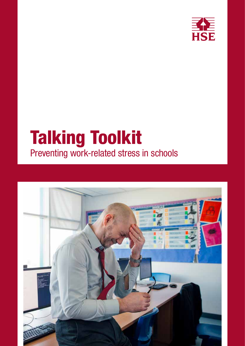

# Talking Toolkit Preventing work-related stress in schools

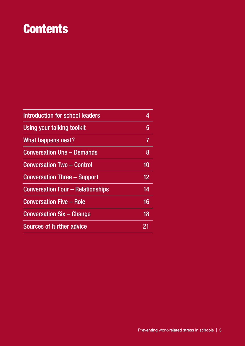# **Contents**

| Introduction for school leaders          |    |
|------------------------------------------|----|
| <b>Using your talking toolkit</b>        | 5  |
| What happens next?                       | 7  |
| <b>Conversation One - Demands</b>        | 8  |
| <b>Conversation Two - Control</b>        | 10 |
| <b>Conversation Three – Support</b>      | 12 |
| <b>Conversation Four - Relationships</b> | 14 |
| <b>Conversation Five - Role</b>          | 16 |
| <b>Conversation Six - Change</b>         | 18 |
| <b>Sources of further advice</b>         | 21 |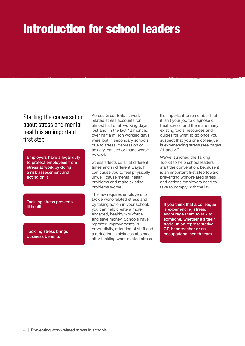### Introduction for school leaders

Starting the conversation about stress and mental health is an important first step

Employers have a legal duty to protect employees from stress at work by doing a risk assessment and acting on it

Tackling stress prevents ill health

Tackling stress brings business benefits

Across Great Britain, workrelated stress accounts for almost half of all working days lost and, in the last 12 months, over half a million working days were lost in secondary schools due to stress, depression or anxiety, caused or made worse by work.

Stress affects us all at different times and in different ways. It can cause you to feel physically unwell, cause mental health problems and make existing problems worse.

The law requires employers to tackle work-related stress and, by taking action in your school, you can help create a more engaged, healthy workforce and save money. Schools have reported improvements in productivity, retention of staff and a reduction in sickness absence after tackling work-related stress.

It's important to remember that it isn't your job to diagnose or treat stress, and there are many existing tools, resources and guides for what to do once you suspect that you or a colleague is experiencing stress (see pages 21 and 22).

We've launched the Talking Toolkit to help school leaders start the converstion, because it is an important first step toward preventing work-related stress and actions employers need to take to comply with the law.

If you think that a colleague is experiencing stress, encourage them to talk to someone, whether it's their trade union representative, GP, headteacher or an occupational health team.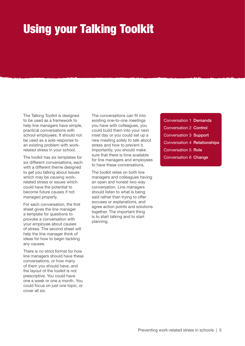# Using your Talking Toolkit

The Talking Toolkit is designed to be used as a framework to help line managers have simple, practical conversations with school employees. It should not be used as a sole response to an existing problem with workrelated stress in your school.

The toolkit has six templates for six different conversations, each with a different theme designed to get you talking about issues which may be causing workrelated stress or issues which could have the potential to become future causes if not managed properly.

For each conversation, the first sheet gives the line manager a template for questions to provoke a conversation with your employee about causes of stress. The second sheet will help the line manager think of ideas for how to begin tackling any causes.

There is no strict format for how line managers should have these conversations, or how many of them you should have, and the layout of the toolkit is not prescriptive. You could have one a week or one a month. You could focus on just one topic, or cover all six.

The conversations can fit into existing one-to-one meetings you have with colleagues, you could build them into your next inset day or you could set up a new meeting solely to talk about stress and how to prevent it. Importantly, you should make sure that there is time available for line managers and employees to have these conversations.

The toolkit relies on both line managers and colleagues having an open and honest two-way conversation. Line managers should listen to what is being said rather than trying to offer excuses or explanations, and agree action points and solutions together. The important thing is to start talking and to start planning.

| <b>Conversation 1 Demands</b>       |  |
|-------------------------------------|--|
| <b>Conversation 2 Control</b>       |  |
| Conversation 3 Support              |  |
| <b>Conversation 4 Relationships</b> |  |
| Conversation 5 Role                 |  |
| Conversation 6 Change               |  |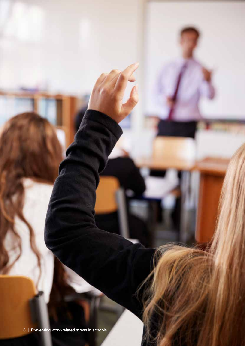6 | Preventing work-related stress in schools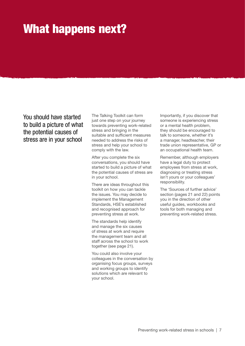### What happens next?

You should have started to build a picture of what the potential causes of stress are in your school

The Talking Toolkit can form just one step on your journey towards preventing work-related stress and bringing in the suitable and sufficient measures needed to address the risks of stress and help your school to comply with the law.

After you complete the six conversations, you should have started to build a picture of what the potential causes of stress are in your school.

There are ideas throughout this toolkit on how you can tackle the issues. You may decide to implement the Management Standards, HSE's established and recognised approach for preventing stress at work.

The standards help identify and manage the six causes of stress at work and require the management team and all staff across the school to work together (see page 21).

You could also involve your colleagues in the conversation by organising focus groups, surveys and working groups to identify solutions which are relevant to your school.

Importantly, if you discover that someone is experiencing stress or a mental health problem, they should be encouraged to talk to someone, whether it's a manager, headteacher, their trade union representative, GP or an occupational health team.

Remember, although employers have a legal duty to protect employees from stress at work, diagnosing or treating stress isn't yours or your colleagues' responsibility.

The 'Sources of further advice' section (pages 21 and 22) points you in the direction of other useful guides, workbooks and tools for both managing and preventing work-related stress.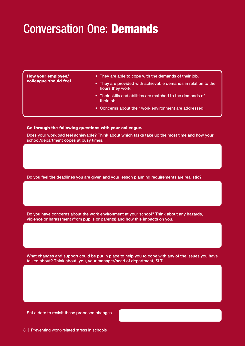# Conversation One: Demands

How your employee/ colleague should feel • They are able to cope with the demands of their job. • They are provided with achievable demands in relation to the hours they work. • Their skills and abilities are matched to the demands of their job. • Concerns about their work environment are addressed.

#### Go through the following questions with your colleague.

Does your workload feel achievable? Think about which tasks take up the most time and how your school/department copes at busy times.

Do you feel the deadlines you are given and your lesson planning requirements are realistic?

Do you have concerns about the work environment at your school? Think about any hazards, violence or harassment (from pupils or parents) and how this impacts on you.

What changes and support could be put in place to help you to cope with any of the issues you have talked about? Think about: you, your manager/head of department, SLT.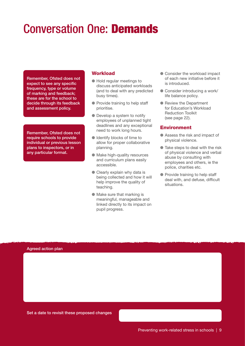# Conversation One: Demands

Remember, Ofsted does not expect to see any specific frequency, type or volume of marking and feedback; these are for the school to decide through its feedback and assessment policy.

Remember, Ofsted does not require schools to provide individual or previous lesson plans to inspectors, or in any particular format.

#### Workload

- Hold regular meetings to discuss anticipated workloads (and to deal with any predicted busy times).
- Provide training to help staff prioritise.
- Develop a system to notify employees of unplanned tight deadlines and any exceptional need to work long hours.
- Identify blocks of time to allow for proper collaborative planning.
- Make high-quality resources and curriculum plans easily accessible.
- Clearly explain why data is being collected and how it will help improve the quality of teaching.
- Make sure that marking is meaningful, manageable and linked directly to its impact on pupil progress.
- Consider the workload impact of each new initiative before it is introduced.
- Consider introducing a work/ life balance policy.
- Review the Department for Education's Workload Reduction Toolkit (see page 22).

#### Environment

- Assess the risk and impact of physical violence.
- Take steps to deal with the risk of physical violence and verbal abuse by consulting with employees and others, ie the police, charities etc.
- Provide training to help staff deal with, and defuse, difficult situations.

#### Agreed action plan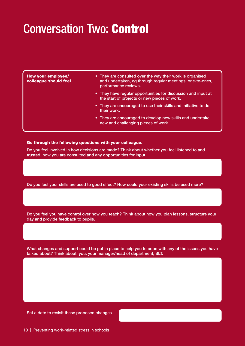# Conversation Two: Control

| How your employee/<br>colleague should feel | • They are consulted over the way their work is organised<br>and undertaken, eg through regular meetings, one-to-ones,<br>performance reviews. |
|---------------------------------------------|------------------------------------------------------------------------------------------------------------------------------------------------|
|                                             | • They have regular opportunities for discussion and input at<br>the start of projects or new pieces of work.                                  |
|                                             | • They are encouraged to use their skills and initiative to do<br>their work.                                                                  |
|                                             | • They are encouraged to develop new skills and undertake<br>new and challenging pieces of work.                                               |
|                                             |                                                                                                                                                |

Go through the following questions with your colleague.

Do you feel involved in how decisions are made? Think about whether you feel listened to and trusted, how you are consulted and any opportunities for input.

Do you feel your skills are used to good effect? How could your existing skills be used more?

Do you feel you have control over how you teach? Think about how you plan lessons, structure your day and provide feedback to pupils.

What changes and support could be put in place to help you to cope with any of the issues you have talked about? Think about: you, your manager/head of department, SLT.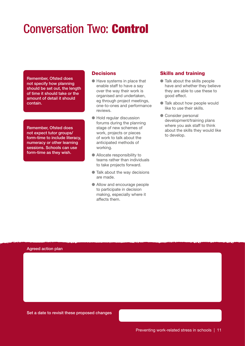### Conversation Two: Control

Remember, Ofsted does not specify how planning should be set out, the length of time it should take or the amount of detail it should contain.

Remember, Ofsted does not expect tutor groups/ form-time to include literacy, numeracy or other learning sessions. Schools can use form-time as they wish.

#### **Decisions**

- Have systems in place that enable staff to have a say over the way their work is organised and undertaken, eg through project meetings, one-to-ones and performance reviews.
- Hold regular discussion forums during the planning stage of new schemes of work, projects or pieces of work to talk about the anticipated methods of working.
- Allocate responsibility to teams rather than individuals to take projects forward.
- Talk about the way decisions are made.
- Allow and encourage people to participate in decision making, especially where it affects them.

#### Skills and training

- Talk about the skills people have and whether they believe they are able to use these to good effect.
- Talk about how people would like to use their skills.
- Consider personal development/training plans where you ask staff to think about the skills they would like to develop.

#### Agreed action plan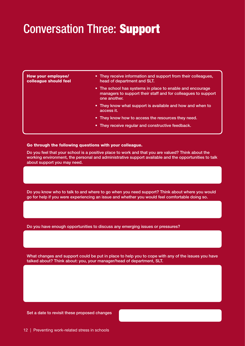# Conversation Three: Support

| <b>How your employee/</b><br>colleague should feel | • They receive information and support from their colleagues,<br>head of department and SLT.                                               |
|----------------------------------------------------|--------------------------------------------------------------------------------------------------------------------------------------------|
|                                                    | • The school has systems in place to enable and encourage<br>managers to support their staff and for colleagues to support<br>one another. |
|                                                    | • They know what support is available and how and when to<br>access it.                                                                    |
|                                                    | • They know how to access the resources they need.                                                                                         |
|                                                    | • They receive regular and constructive feedback.                                                                                          |

#### Go through the following questions with your colleague.

Do you feel that your school is a positive place to work and that you are valued? Think about the working environment, the personal and administrative support available and the opportunities to talk about support you may need.

Do you know who to talk to and where to go when you need support? Think about where you would go for help if you were experiencing an issue and whether you would feel comfortable doing so.

Do you have enough opportunities to discuss any emerging issues or pressures?

What changes and support could be put in place to help you to cope with any of the issues you have talked about? Think about: you, your manager/head of department, SLT.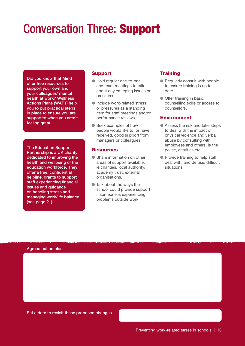# Conversation Three: Support

Did you know that Mind offer free resources to support your own and your colleagues' mental health at work? Wellness Actions Plans (WAPs) help you to put practical steps in place to ensure you are supported when you aren't feeling great.

The Education Support Partnership is a UK charity dedicated to improving the health and wellbeing of the education workforce. They offer a free, confidential helpline, grants to support staff experiencing financial issues and guidance on handling stress and managing work/life balance (see page 21).

#### Support

- Hold regular one-to-one and team meetings to talk about any emerging issues or pressures.
- Include work-related stress or pressures as a standing item for staff meetings and/or performance reviews.
- Seek examples of how people would like to, or have received, good support from managers or colleagues.

#### **Resources**

- Share information on other areas of support available, ie charities, local authority/ academy trust, external organisations.
- Talk about the ways the school could provide support if someone is experiencing problems outside work.

### **Training**

- Regularly consult with people to ensure training is up to date.
- Offer training in basic counselling skills or access to counsellors.

### **Environment**

- Assess the risk and take steps to deal with the impact of physical violence and verbal abuse by consulting with employees and others, ie the police, charities etc.
- Provide training to help staff deal with, and defuse, difficult situations.

#### Agreed action plan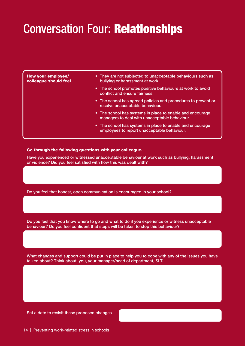# Conversation Four: Relationships

| • They are not subjected to unacceptable behaviours such as<br>bullying or harassment at work.             |
|------------------------------------------------------------------------------------------------------------|
| • The school promotes positive behaviours at work to avoid<br>conflict and ensure fairness.                |
| • The school has agreed policies and procedures to prevent or<br>resolve unacceptable behaviour.           |
| • The school has systems in place to enable and encourage<br>managers to deal with unacceptable behaviour. |
| • The school has systems in place to enable and encourage<br>employees to report unacceptable behaviour.   |
|                                                                                                            |

Go through the following questions with your colleague.

Have you experienced or witnessed unacceptable behaviour at work such as bullying, harassment or violence? Did you feel satisfied with how this was dealt with?

Do you feel that honest, open communication is encouraged in your school?

Do you feel that you know where to go and what to do if you experience or witness unacceptable behaviour? Do you feel confident that steps will be taken to stop this behaviour?

What changes and support could be put in place to help you to cope with any of the issues you have talked about? Think about: you, your manager/head of department, SLT.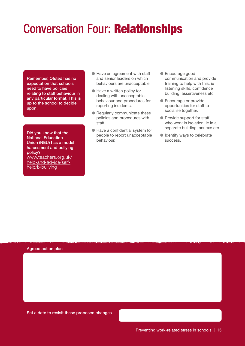# Conversation Four: Relationships

Remember, Ofsted has no expectation that schools need to have policies relating to staff behaviour in any particular format. This is up to the school to decide upon.

Did you know that the National Education Union (NEU) has a model harassment and bullying policy? [www.teachers.org.uk/](http://www.teachers.org.uk/help-and-advice/self-help/b/bullying) [help-and-advice/self](http://www.teachers.org.uk/help-and-advice/self-help/b/bullying)[help/b/bullying](http://www.teachers.org.uk/help-and-advice/self-help/b/bullying)

- Have an agreement with staff and senior leaders on which behaviours are unacceptable.
- Have a written policy for dealing with unacceptable behaviour and procedures for reporting incidents.
- Regularly communicate these policies and procedures with staff.
- Have a confidential system for people to report unacceptable behaviour.
- Encourage good communication and provide training to help with this, ie listening skills, confidence building, assertiveness etc.
- Encourage or provide opportunities for staff to socialise together.
- Provide support for staff who work in isolation, ie in a separate building, annexe etc.
- Identify ways to celebrate success.

#### Agreed action plan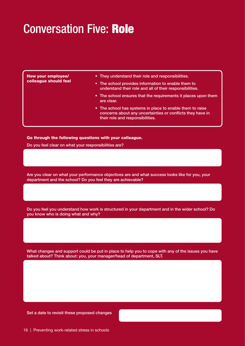# Conversation Five: Role

| How your employee/<br>colleague should feel | • They understand their role and responsibilities.                                                                                                          |
|---------------------------------------------|-------------------------------------------------------------------------------------------------------------------------------------------------------------|
|                                             | • The school provides information to enable them to<br>understand their role and all of their responsibilities.                                             |
|                                             | • The school ensures that the requirements it places upon them<br>are clear.                                                                                |
|                                             | • The school has systems in place to enable them to raise<br>concerns about any uncertainties or conflicts they have in<br>their role and responsibilities. |
|                                             |                                                                                                                                                             |

Go through the following questions with your colleague.

Do you feel clear on what your responsibilities are?

Are you clear on what your performance objectives are and what success looks like for you, your department and the school? Do you feel they are achievable?

Do you feel you understand how work is structured in your department and in the wider school? Do you know who is doing what and why?

What changes and support could be put in place to help you to cope with any of the issues you have talked about? Think about: you, your manager/head of department, SLT.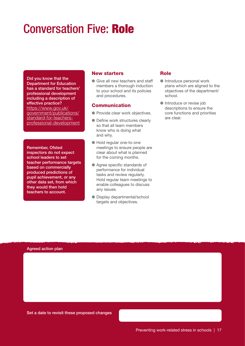# Conversation Five: Role

Did you know that the Department for Education has a standard for teachers' professional development including a description of effective practice? [https://www.gov.uk/](https://www.gov.uk/government/publications/standard-for-teachers-professional-development) [government/publications/](https://www.gov.uk/government/publications/standard-for-teachers-professional-development) [standard-for-teachers](https://www.gov.uk/government/publications/standard-for-teachers-professional-development)[professional-development](https://www.gov.uk/government/publications/standard-for-teachers-professional-development)

Remember, Ofsted inspectors do not expect school leaders to set teacher performance targets based on commercially produced predictions of pupil achievement, or any other data set, from which they would then hold teachers to account.

#### New starters

● Give all new teachers and staff members a thorough induction to your school and its policies and procedures.

#### Communication

- Provide clear work objectives.
- Define work structures clearly so that all team members know who is doing what and why.
- Hold regular one-to-one meetings to ensure people are clear about what is planned for the coming months.
- Agree specific standards of performance for individual tasks and review regularly. Hold regular team meetings to enable colleagues to discuss any issues.
- Display departmental/school targets and objectives.

#### Role

- Introduce personal work plans which are aligned to the objectives of the department/ school.
- Introduce or revise job descriptions to ensure the core functions and priorities are clear.

#### Agreed action plan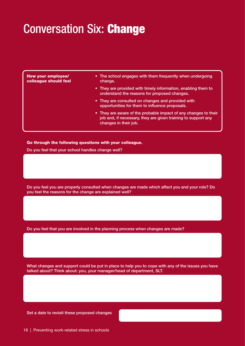# Conversation Six: Change

| How your employee/<br>colleague should feel | • The school engages with them frequently when undergoing<br>change.                                                                                      |
|---------------------------------------------|-----------------------------------------------------------------------------------------------------------------------------------------------------------|
|                                             | • They are provided with timely information, enabling them to<br>understand the reasons for proposed changes.                                             |
|                                             | • They are consulted on changes and provided with<br>opportunities for them to influence proposals.                                                       |
|                                             | • They are aware of the probable impact of any changes to their<br>job and, if necessary, they are given training to support any<br>changes in their job. |

Go through the following questions with your colleague. Do you feel that your school handles change well?

Do you feel you are properly consulted when changes are made which affect you and your role? Do you feel the reasons for the change are explained well?

Do you feel that you are involved in the planning process when changes are made?

What changes and support could be put in place to help you to cope with any of the issues you have talked about? Think about: you, your manager/head of department, SLT.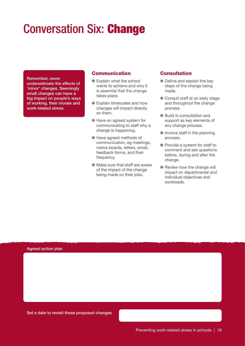## Conversation Six: Change

Remember, never

underestimate the effects of 'minor' changes. Seemingly small changes can have a big impact on people's ways of working, their morale and work-related stress.

#### Communication

- Explain what the school wants to achieve and why it is essential that the change takes place.
- Explain timescales and how changes will impact directly on them.
- Have an agreed system for communicating to staff why a change is happening.
- Have agreed methods of communication, eg meetings, notice boards, letters, email, feedback forms, and their frequency.
- Make sure that staff are aware of the impact of the change being made on their jobs.

### **Consultation**

- Define and explain the key steps of the change being made.
- Consult staff at an early stage and throughout the change process.
- Build in consultation and support as key elements of any change process.
- Involve staff in the planning process.
- Provide a system for staff to comment and ask questions before, during and after the change.
- Review how the change will impact on departmental and individual objectives and workloads.

#### Agreed action plan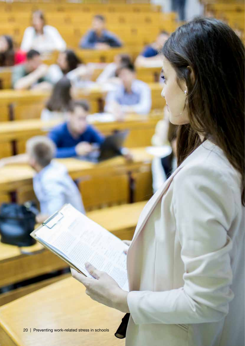20 | Preventing work-related stress in schools

 $\blacktriangle$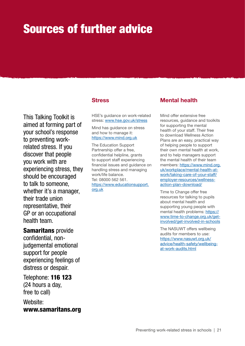# Sources of further advice

### **Stress**

HSE's guidance on work-related stress: [www.hse.gov.uk/stress](http://www.hse.gov.uk/stress)

Mind has guidance on stress and how to manage it: <https://www.mind.org.uk>

The Education Support Partnership offer a free, confidential helpline, grants to support staff experiencing financial issues and guidance on handling stress and managing work/life balance. Tel: 08000 562 561. [https://www.educationsupport.](https://www.educationsupport.org.uk) [org.uk](https://www.educationsupport.org.uk)

### Mental health

Mind offer extensive free resources, guidance and toolkits for supporting the mental health of your staff. Their free to download Wellness Action Plans are an easy, practical way of helping people to support their own mental health at work, and to help managers support the mental health of their team members: [https://www.mind.org.](https://www.mind.org.uk/workplace/mental-health-at-work/taking-care-of-your-staff/employer-resources/wellness-action-plan-download/) [uk/workplace/mental-health-at](https://www.mind.org.uk/workplace/mental-health-at-work/taking-care-of-your-staff/employer-resources/wellness-action-plan-download/)[work/taking-care-of-your-staff/](https://www.mind.org.uk/workplace/mental-health-at-work/taking-care-of-your-staff/employer-resources/wellness-action-plan-download/) [employer-resources/wellness](https://www.mind.org.uk/workplace/mental-health-at-work/taking-care-of-your-staff/employer-resources/wellness-action-plan-download/)[action-plan-download/](https://www.mind.org.uk/workplace/mental-health-at-work/taking-care-of-your-staff/employer-resources/wellness-action-plan-download/)

Time to Change offer free resources for talking to pupils about mental health and supporting young people with mental health problems: [https://](https://www.time-to-change.org.uk/get-involved/get-involved-in-schools) [www.time-to-change.org.uk/get](https://www.time-to-change.org.uk/get-involved/get-involved-in-schools)[involved/get-involved-in-schools](https://www.time-to-change.org.uk/get-involved/get-involved-in-schools)

The NASUWT offers wellbeing audits for members to use: [https://www.nasuwt.org.uk/](https://www.nasuwt.org.uk/advice/health-safety/wellbeing-at-work-audits.html) [advice/health-safety/wellbeing](https://www.nasuwt.org.uk/advice/health-safety/wellbeing-at-work-audits.html)[at-work-audits.html](https://www.nasuwt.org.uk/advice/health-safety/wellbeing-at-work-audits.html)

This Talking Toolkit is aimed at forming part of your school's response to preventing workrelated stress. If you discover that people you work with are experiencing stress, they should be encouraged to talk to someone, whether it's a manager. their trade union representative, their GP or an occupational health team.

#### Samaritans provide

confidential, nonjudgemental emotional support for people experiencing feelings of distress or despair.

Telephone: 116 123 (24 hours a day, free to call)

Website:

[www.samaritans.org](http://www.samaritans.org)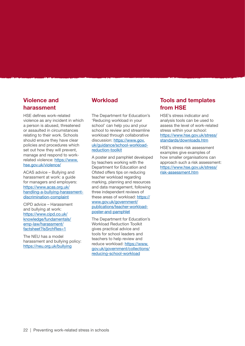### Violence and harassment

HSE defines work-related violence as any incident in which a person is abused, threatened or assaulted in circumstances relating to their work. Schools should ensure they have clear policies and procedures which set out how they will prevent, manage and respond to workrelated violence: [https://www.](https://www.hse.gov.uk/violence/) [hse.gov.uk/violence/](https://www.hse.gov.uk/violence/)

ACAS advice – Bullying and harassment at work: a guide for managers and employers: [https://www.acas.org.uk/](https://www.acas.org.uk/handling-a-bullying-harassment-discrimination-complaint) [handling-a-bullying-harassment](https://www.acas.org.uk/handling-a-bullying-harassment-discrimination-complaint)[discrimination-complaint](https://www.acas.org.uk/handling-a-bullying-harassment-discrimination-complaint)

CIPD advice – Harassment and bullying at work: [https://www.cipd.co.uk/](https://www.cipd.co.uk/knowledge/fundamentals/emp-law/harassment/factsheet?IsSrchRes=1) [knowledge/fundamentals/](https://www.cipd.co.uk/knowledge/fundamentals/emp-law/harassment/factsheet?IsSrchRes=1) [emp-law/harassment/](https://www.cipd.co.uk/knowledge/fundamentals/emp-law/harassment/factsheet?IsSrchRes=1) [factsheet?IsSrchRes=1](https://www.cipd.co.uk/knowledge/fundamentals/emp-law/harassment/factsheet?IsSrchRes=1)

The NEU has a model harassment and bullying policy: <https://neu.org.uk/bullying>

### Workload

The Department for Education's 'Reducing workload in your school' can help you and your school to review and streamline workload through collaborative discussion: [https://www.gov.](https://www.gov.uk/guidance/school-workload-reduction-toolkit) [uk/guidance/school-workload](https://www.gov.uk/guidance/school-workload-reduction-toolkit)[reduction-toolkit](https://www.gov.uk/guidance/school-workload-reduction-toolkit)

A poster and pamphlet developed by teachers working with the Department for Education and Ofsted offers tips on reducing teacher workload regarding marking, planning and resources and data management, following three independent reviews of these areas of workload: [https://](https://www.gov.uk/government/publications/teacher-workload-poster-and-pamphlet) [www.gov.uk/government/](https://www.gov.uk/government/publications/teacher-workload-poster-and-pamphlet) [publications/teacher-workload](https://www.gov.uk/government/publications/teacher-workload-poster-and-pamphlet)[poster-and-pamphlet](https://www.gov.uk/government/publications/teacher-workload-poster-and-pamphlet)

The Department for Education's Workload Reduction Toolkit gives practical advice and tools for school leaders and teachers to help review and reduce workload: [https://www.](https://www.gov.uk/government/collections/reducing-school-workload) [gov.uk/government/collections/](https://www.gov.uk/government/collections/reducing-school-workload) [reducing-school-workload](https://www.gov.uk/government/collections/reducing-school-workload)

### Tools and templates from HSE

HSE's stress indicator and analysis tools can be used to assess the level of work-related stress within your school: [https://www.hse.gov.uk/stress/](https://www.hse.gov.uk/stress/standards/downloads.htm) [standards/downloads.htm](https://www.hse.gov.uk/stress/standards/downloads.htm)

HSE's stress risk assessment examples give examples of how smaller organisations can approach such a risk assessment: [https://www.hse.gov.uk/stress/](https://www.hse.gov.uk/stress/risk-assessment.htm) [risk-assessment.htm](https://www.hse.gov.uk/stress/risk-assessment.htm)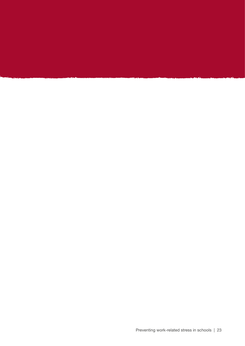Preventing work-related stress in schools | 23